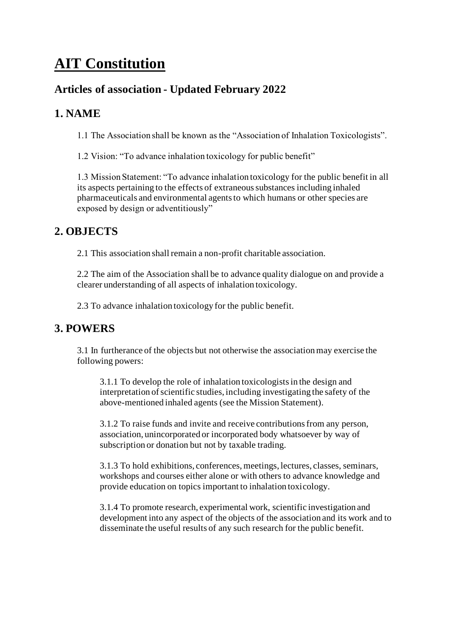# **AIT Constitution**

# **Articles of association - Updated February 2022**

### **1. NAME**

1.1 The Association shall be known as the "Association of Inhalation Toxicologists".

1.2 Vision: "To advance inhalation toxicology for public benefit"

1.3 Mission Statement: "To advance inhalation toxicology for the public benefit in all its aspects pertaining to the effects of extraneous substances including inhaled pharmaceuticals and environmental agents to which humans or other species are exposed by design or adventitiously"

# **2. OBJECTS**

2.1 This association shall remain a non-profit charitable association.

2.2 The aim of the Association shall be to advance quality dialogue on and provide a clearer understanding of all aspects of inhalation toxicology.

2.3 To advance inhalation toxicology for the public benefit.

# **3. POWERS**

3.1 In furtherance of the objects but not otherwise the association may exercise the following powers:

3.1.1 To develop the role of inhalation toxicologists in the design and interpretation of scientific studies, including investigating the safety of the above-mentioned inhaled agents (see the Mission Statement).

3.1.2 To raise funds and invite and receive contributions from any person, association, unincorporated or incorporated body whatsoever by way of subscription or donation but not by taxable trading.

3.1.3 To hold exhibitions, conferences, meetings, lectures, classes, seminars, workshops and courses either alone or with others to advance knowledge and provide education on topics important to inhalation toxicology.

3.1.4 To promote research, experimental work, scientific investigation and development into any aspect of the objects of the association and its work and to disseminate the useful results of any such research for the public benefit.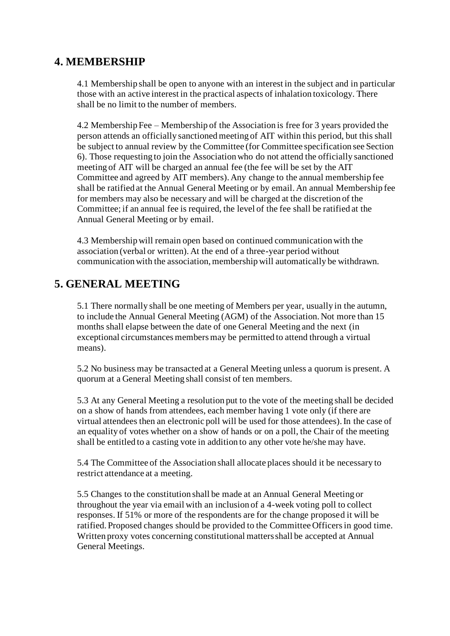### **4. MEMBERSHIP**

4.1 Membership shall be open to anyone with an interest in the subject and in particular those with an active interest in the practical aspects of inhalation toxicology. There shall be no limit to the number of members.

4.2 Membership Fee – Membership of the Association is free for 3 years provided the person attends an officially sanctioned meeting of AIT within this period, but this shall be subject to annual review by the Committee (for Committee specification see Section 6). Those requesting to join the Association who do not attend the officially sanctioned meeting of AIT will be charged an annual fee (the fee will be set by the AIT Committee and agreed by AIT members). Any change to the annual membership fee shall be ratified at the Annual General Meeting or by email. An annual Membership fee for members may also be necessary and will be charged at the discretion of the Committee; if an annual fee is required, the level of the fee shall be ratified at the Annual General Meeting or by email.

4.3 Membership will remain open based on continued communication with the association (verbal or written). At the end of a three-year period without communication with the association, membership will automatically be withdrawn.

### **5. GENERAL MEETING**

5.1 There normally shall be one meeting of Members per year, usually in the autumn, to include the Annual General Meeting (AGM) of the Association. Not more than 15 months shall elapse between the date of one General Meeting and the next (in exceptional circumstances members may be permitted to attend through a virtual means).

5.2 No business may be transacted at a General Meeting unless a quorum is present. A quorum at a General Meeting shall consist of ten members.

5.3 At any General Meeting a resolution put to the vote of the meeting shall be decided on a show of hands from attendees, each member having 1 vote only (if there are virtual attendees then an electronic poll will be used for those attendees). In the case of an equality of votes whether on a show of hands or on a poll, the Chair of the meeting shall be entitled to a casting vote in addition to any other vote he/she may have.

5.4 The Committee of the Association shall allocate places should it be necessary to restrict attendance at a meeting.

5.5 Changes to the constitution shall be made at an Annual General Meeting or throughout the year via email with an inclusion of a 4-week voting poll to collect responses. If 51% or more of the respondents are for the change proposed it will be ratified. Proposed changes should be provided to the Committee Officers in good time. Written proxy votes concerning constitutional matters shall be accepted at Annual General Meetings.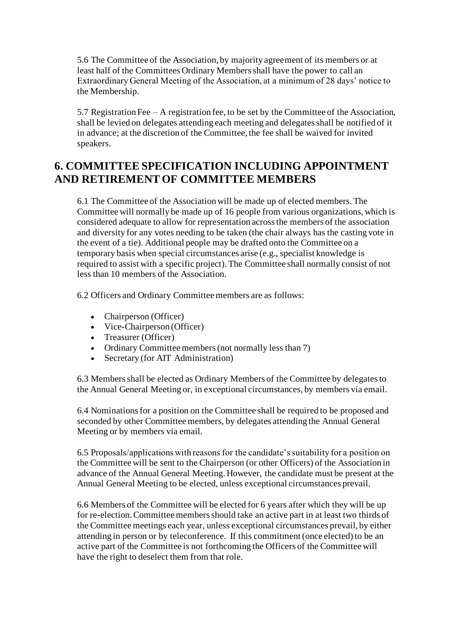5.6 The Committee of the Association, by majority agreement of its members or at least half of the Committees Ordinary Members shall have the power to call an Extraordinary General Meeting of the Association, at a minimum of 28 days' notice to the Membership.

5.7 Registration Fee – A registration fee, to be set by the Committee of the Association, shall be levied on delegates attending each meeting and delegates shall be notified of it in advance; at the discretion of the Committee, the fee shall be waived for invited speakers.

### **6. COMMITTEE SPECIFICATION INCLUDING APPOINTMENT AND RETIREMENT OF COMMITTEE MEMBERS**

6.1 The Committee of the Association will be made up of elected members. The Committee will normally be made up of 16 people from various organizations, which is considered adequate to allow for representation across the members of the association and diversity for any votes needing to be taken (the chair always has the casting vote in the event of a tie). Additional people may be drafted onto the Committee on a temporary basis when special circumstances arise (e.g., specialist knowledge is required to assist with a specific project). The Committee shall normally consist of not less than 10 members of the Association.

6.2 Officers and Ordinary Committee members are as follows:

- Chairperson (Officer)
- Vice-Chairperson (Officer)
- Treasurer (Officer)
- Ordinary Committee members (not normally less than 7)
- Secretary (for AIT Administration)

6.3 Members shall be elected as Ordinary Members of the Committee by delegates to the Annual General Meeting or, in exceptional circumstances, by members via email.

6.4 Nominations for a position on the Committee shall be required to be proposed and seconded by other Committee members, by delegates attending the Annual General Meeting or by members via email.

6.5 Proposals/applications with reasons for the candidate's suitability for a position on the Committee will be sent to the Chairperson (or other Officers) of the Association in advance of the Annual General Meeting. However, the candidate must be present at the Annual General Meeting to be elected, unless exceptional circumstances prevail.

6.6 Members of the Committee will be elected for 6 years after which they will be up for re-election. Committee members should take an active part in at least two thirds of the Committee meetings each year, unless exceptional circumstances prevail, by either attending in person or by teleconference. If this commitment (once elected) to be an active part of the Committee is not forthcoming the Officers of the Committee will have the right to deselect them from that role.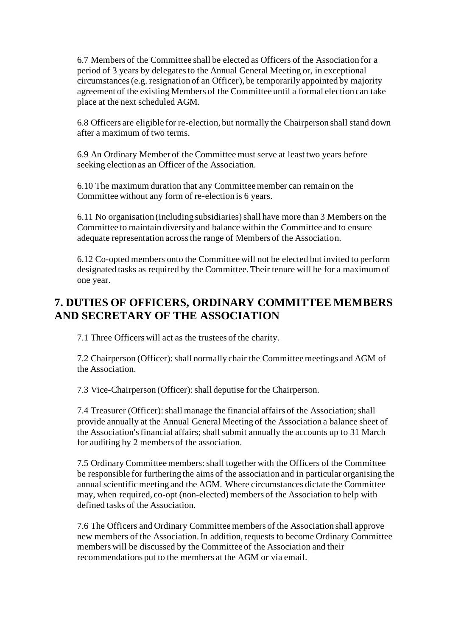6.7 Members of the Committee shall be elected as Officers of the Association for a period of 3 years by delegates to the Annual General Meeting or, in exceptional circumstances (e.g. resignation of an Officer), be temporarily appointed by majority agreement of the existing Members of the Committee until a formal election can take place at the next scheduled AGM.

6.8 Officers are eligible for re-election, but normally the Chairperson shall stand down after a maximum of two terms.

6.9 An Ordinary Member of the Committee must serve at least two years before seeking election as an Officer of the Association.

6.10 The maximum duration that any Committee member can remain on the Committee without any form of re-election is 6 years.

6.11 No organisation (including subsidiaries) shall have more than 3 Members on the Committee to maintain diversity and balance within the Committee and to ensure adequate representation across the range of Members of the Association.

6.12 Co-opted members onto the Committee will not be elected but invited to perform designated tasks as required by the Committee. Their tenure will be for a maximum of one year.

# **7. DUTIES OF OFFICERS, ORDINARY COMMITTEE MEMBERS AND SECRETARY OF THE ASSOCIATION**

7.1 Three Officers will act as the trustees of the charity.

7.2 Chairperson (Officer): shall normally chair the Committee meetings and AGM of the Association.

7.3 Vice-Chairperson (Officer): shall deputise for the Chairperson.

7.4 Treasurer (Officer): shall manage the financial affairs of the Association; shall provide annually at the Annual General Meeting of the Association a balance sheet of the Association's financial affairs; shall submit annually the accounts up to 31 March for auditing by 2 members of the association.

7.5 Ordinary Committee members: shall together with the Officers of the Committee be responsible for furthering the aims of the association and in particular organising the annual scientific meeting and the AGM. Where circumstances dictate the Committee may, when required, co-opt (non-elected) members of the Association to help with defined tasks of the Association.

7.6 The Officers and Ordinary Committee members of the Association shall approve new members of the Association. In addition, requests to become Ordinary Committee members will be discussed by the Committee of the Association and their recommendations put to the members at the AGM or via email.